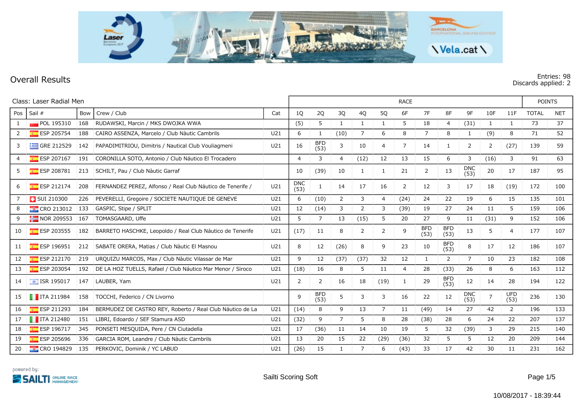

## **Overall Results Entries: 98 Discards applied: 2**

|                | Class: Laser Radial Men         |     |                                                            |                 |                    |                    | <b>RACE</b>    |              |                |      |                    |                    |                    |                |                    |              |            |  |
|----------------|---------------------------------|-----|------------------------------------------------------------|-----------------|--------------------|--------------------|----------------|--------------|----------------|------|--------------------|--------------------|--------------------|----------------|--------------------|--------------|------------|--|
| Pos            | Sail #                          | Bow | Crew / Club                                                | Cat             | 1Q                 | 2Q                 | 3Q             | 4Q           | 5Q             | 6F   | 7F                 | 8F                 | 9F                 | 10F            | 11F                | <b>TOTAL</b> | <b>NET</b> |  |
|                | POL 195310                      | 168 | RUDAWSKI, Marcin / MKS DWOJKA WWA                          |                 | (5)                | 5                  | 1              | $\mathbf{1}$ | 1              | 5    | 18                 | 4                  | (31)               | 1              | $\mathbf{1}$       | 73           | 37         |  |
| $\overline{2}$ | <b>ESP 205754</b>               | 188 | CAIRO ASSENZA, Marcelo / Club Nàutic Cambrils              | U <sub>21</sub> | 6                  | 1                  | (10)           | 7            | 6              | 8    | 7                  | 8                  | 1                  | (9)            | 8                  | 71           | 52         |  |
| 3              | $\equiv$ GRE 212529             | 142 | PAPADIMITRIOU, Dimitris / Nautical Club Vouliagmeni        | U <sub>21</sub> | 16                 | <b>BFD</b><br>(53) | 3              | 10           | 4              | 7    | 14                 | 1                  | 2                  | 2              | (27)               | 139          | 59         |  |
| 4              | $E$ ESP 207167                  | 191 | CORONILLA SOTO, Antonio / Club Náutico El Trocadero        |                 | $\overline{4}$     | 3                  | $\overline{4}$ | (12)         | 12             | 13   | 15                 | 6                  | 3                  | (16)           | 3                  | 91           | 63         |  |
| 5              | ESP 208781                      | 213 | SCHILT, Pau / Club Nàutic Garraf                           |                 | 10                 | (39)               | 10             | 1            | -1             | 21   | 2                  | 13                 | <b>DNC</b><br>(53) | 20             | 17                 | 187          | 95         |  |
| 6              | ESP 212174                      | 208 | FERNANDEZ PEREZ, Alfonso / Real Club Náutico de Tenerife / | U21             | <b>DNC</b><br>(53) |                    | 14             | 17           | 16             | 2    | 12                 | 3                  | 17                 | 18             | (19)               | 172          | 100        |  |
|                | <b>B</b> SUI 210300             | 226 | PEVERELLI, Gregoire / SOCIETE NAUTIQUE DE GENEVE           | U21             | 6                  | (10)               | 2              | 3            | 4              | (24) | 24                 | 22                 | 19                 | 6              | 15                 | 135          | 101        |  |
| 8              | <b>CRO 213012</b>               | 133 | GASPIC, Stipe / SPLIT                                      | U21             | 12                 | (14)               | 3              | 2            | 3              | (39) | 19                 | 27                 | 24                 | 11             | 5                  | 159          | 106        |  |
| 9              | $\frac{1}{2}$ NOR 209553        | 167 | TOMASGAARD, Uffe                                           | U21             | 5                  | $\overline{7}$     | 13             | (15)         | 5              | 20   | 27                 | 9                  | 11                 | (31)           | 9                  | 152          | 106        |  |
| 10             | ESP 203555                      | 182 | BARRETO HASCHKE, Leopoldo / Real Club Náutico de Tenerife  | U21             | (17)               | 11                 | 8              | 2            | $\overline{2}$ | 9    | <b>BFD</b><br>(53) | <b>BFD</b><br>(53) | 13                 | 5              | 4                  | 177          | 107        |  |
| 11             | $E$ ESP 196951                  | 212 | SABATE ORERA, Matias / Club Nàutic El Masnou               | U <sub>21</sub> | 8                  | 12                 | (26)           | 8            | 9              | 23   | 10                 | <b>BFD</b><br>(53) | 8                  | 17             | 12                 | 186          | 107        |  |
| 12             | $E$ ESP 212170                  | 219 | URQUIZU MARCOS, Max / Club Nàutic Vilassar de Mar          | U21             | 9                  | 12                 | (37)           | (37)         | 32             | 12   | 1                  | 2                  | 7                  | 10             | 23                 | 182          | 108        |  |
| 13             | ESP 203054                      | 192 | DE LA HOZ TUELLS, Rafael / Club Náutico Mar Menor / Siroco | U21             | (18)               | 16                 | 8              | 5            | 11             | 4    | 28                 | (33)               | 26                 | 8              | 6                  | 163          | 112        |  |
| 14             | $\overline{\bullet}$ ISR 195017 | 147 | LAUBER, Yam                                                | U21             | 2                  | 2                  | 16             | 18           | (19)           | 1    | 29                 | <b>BFD</b><br>(53) | 12                 | 14             | 28                 | 194          | 122        |  |
| 15             | $\blacksquare$ ITA 211984       | 158 | TOCCHI, Federico / CN Livorno                              |                 | 9                  | <b>BFD</b><br>(53) | 5              | 3            | 3              | 16   | 22                 | 12                 | <b>DNC</b><br>(53) | $\overline{7}$ | <b>UFD</b><br>(53) | 236          | 130        |  |
| 16             | $E$ ESP 211293                  | 184 | BERMÚDEZ DE CASTRO REY, Roberto / Real Club Náutico de La  | U <sub>21</sub> | (14)               | 8                  | 9              | 13           | 7              | 11   | (49)               | 14                 | 27                 | 42             | 2                  | 196          | 133        |  |
| 17             | $\blacksquare$ ITA 212480       | 151 | LIBRI, Edoardo / SEF Stamura ASD                           | U21             | (32)               | 9                  | $\overline{7}$ | 5            | 8              | 28   | (38)               | 28                 | 6                  | 24             | 22                 | 207          | 137        |  |
| 18             | $E$ ESP 196717                  | 345 | PONSETI MESQUIDA, Pere / CN Ciutadella                     | U21             | 17                 | (36)               | 11             | 14           | 10             | 19   | 5                  | 32                 | (39)               | 3              | 29                 | 215          | 140        |  |
| 19             | ESP 205696                      | 336 | GARCIA ROM, Leandre / Club Nàutic Cambrils                 | U <sub>21</sub> | 13                 | 20                 | 15             | 22           | (29)           | (36) | 32                 | 5                  | 5                  | 12             | 20                 | 209          | 144        |  |
| 20             | <b>EXECT</b> CRO 194829         | 135 | PERKOVIĆ, Dominik / YC LABUD                               | U21             | (26)               | 15                 | 1              | 7            | 6              | (43) | 33                 | 17                 | 42                 | 30             | 11                 | 231          | 162        |  |

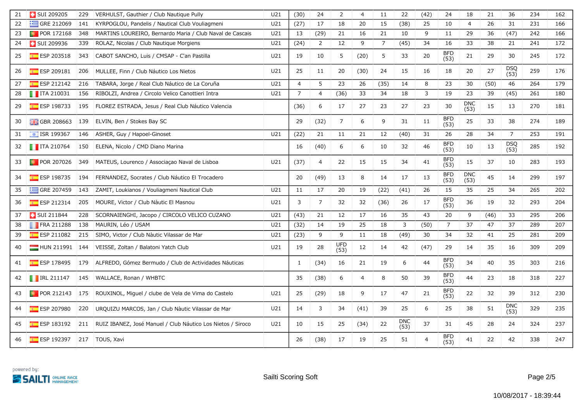| 21 | <b>B</b> SUI 209205                        | 229 | VERHULST, Gauthier / Club Nautique Pully                    | U21             | (30)           | 24             | $\overline{2}$     | 4              | 11             | 22                 | (42)           | 24                 | 18                 | 21   | 36                 | 234 | 162 |
|----|--------------------------------------------|-----|-------------------------------------------------------------|-----------------|----------------|----------------|--------------------|----------------|----------------|--------------------|----------------|--------------------|--------------------|------|--------------------|-----|-----|
| 22 | GRE 212069                                 | 141 | KYRPOGLOU, Pandelis / Nautical Club Vouliagmeni             | U <sub>21</sub> | (27)           | 17             | 18                 | 20             | 15             | (38)               | 25             | 10                 | $\overline{4}$     | 26   | 31                 | 231 | 166 |
| 23 | <b>D</b> POR 172168                        | 348 | MARTINS LOUREIRO, Bernardo Maria / Club Naval de Cascais    | U21             | 13             | (29)           | 21                 | 16             | 21             | 10                 | 9              | 11                 | 29                 | 36   | (47)               | 242 | 166 |
| 24 | <b>B</b> SUI 209936                        | 339 | ROLAZ, Nicolas / Club Nautique Morgiens                     | U <sub>21</sub> | (24)           | $\overline{2}$ | 12                 | 9              | $\overline{7}$ | (45)               | 34             | 16                 | 33                 | 38   | 21                 | 241 | 172 |
| 25 | ESP 203518                                 | 343 | CABOT SANCHO, Luis / CMSAP - C'an Pastilla                  | U21             | 19             | 10             | 5                  | (20)           | 5              | 33                 | 20             | <b>BFD</b><br>(53) | 21                 | 29   | 30                 | 245 | 172 |
| 26 | <b>ESP 209181</b>                          | 206 | MULLEE, Finn / Club Náutico Los Nietos                      | U21             | 25             | 11             | 20                 | (30)           | 24             | 15                 | 16             | 18                 | 20                 | 27   | <b>DSQ</b><br>(53) | 259 | 176 |
| 27 | $E$ ESP 212142                             | 216 | TÁBARA, Jorge / Real Club Náutico de La Coruña              | U21             | $\overline{4}$ | 5              | 23                 | 26             | (35)           | 14                 | 8              | 23                 | 30                 | (50) | 46                 | 264 | 179 |
| 28 | $\blacksquare$ ITA 210031                  | 156 | RIBOLZI, Andrea / Circolo Velico Canottieri Intra           | U21             | $\overline{7}$ | 4              | (36)               | 33             | 34             | 18                 | 3              | 19                 | 23                 | 39   | (45)               | 261 | 180 |
| 29 | $E$ ESP 198733                             | 195 | FLOREZ ESTRADA, Jesus / Real Club Náutico Valencia          |                 | (36)           | 6              | 17                 | 27             | 23             | 27                 | 23             | 30                 | <b>DNC</b><br>(53) | 15   | 13                 | 270 | 181 |
| 30 | $\frac{1}{200}$ GBR 208663                 | 139 | ELVIN, Ben / Stokes Bay SC                                  |                 | 29             | (32)           | $\overline{7}$     | 6              | 9              | 31                 | 11             | <b>BFD</b><br>(53) | 25                 | 33   | 38                 | 274 | 189 |
| 31 | $\sqrt{15}$ ISR 199367                     | 146 | ASHER, Guy / Hapoel-Ginoset                                 | U21             | (22)           | 21             | 11                 | 21             | 12             | (40)               | 31             | 26                 | 28                 | 34   | $\overline{7}$     | 253 | 191 |
| 32 | $\blacksquare$ ITA 210764                  | 150 | ELENA, Nicolo / CMD Diano Marina                            |                 | 16             | (40)           | 6                  | 6              | 10             | 32                 | 46             | <b>BFD</b><br>(53) | 10                 | 13   | DSQ<br>(53)        | 285 | 192 |
| 33 | <b>D</b> POR 207026                        | 349 | MATEUS, Lourenco / Associação Naval de Lisboa               | U21             | (37)           | 4              | 22                 | 15             | 15             | 34                 | 41             | <b>BFD</b><br>(53) | 15                 | 37   | 10                 | 283 | 193 |
| 34 | $E$ ESP 198735                             | 194 | FERNANDEZ, Socrates / Club Náutico El Trocadero             |                 | 20             | (49)           | 13                 | 8              | 14             | 17                 | 13             | <b>BFD</b><br>(53) | <b>DNC</b><br>(53) | 45   | 14                 | 299 | 197 |
| 35 | $\equiv$ GRE 207459                        | 143 | ZAMIT, Loukianos / Vouliagmeni Nautical Club                | U21             | 11             | 17             | 20                 | 19             | (22)           | (41)               | 26             | 15                 | 35                 | 25   | 34                 | 265 | 202 |
| 36 | <b>ESP 212314</b>                          | 205 | MOURE, Victor / Club Nàutic El Masnou                       | U21             | 3              | $\overline{7}$ | 32                 | 32             | (36)           | 26                 | 17             | <b>BFD</b><br>(53) | 36                 | 19   | 32                 | 293 | 204 |
| 37 | <b>B</b> SUI 211844                        | 228 | SCORNAIENGHI, Jacopo / CIRCOLO VELICO CUZANO                | U21             | (43)           | 21             | 12                 | 17             | 16             | 35                 | 43             | 20                 | 9                  | (46) | 33                 | 295 | 206 |
| 38 | FRA 211288                                 | 138 | MAURIN, Léo / USAM                                          | U21             | (32)           | 14             | 19                 | 25             | 18             | 3                  | (50)           | $\overline{7}$     | 37                 | 47   | 37                 | 289 | 207 |
| 39 | ESP 211082                                 | 215 | SIMO, Victor / Club Nàutic Vilassar de Mar                  | U <sub>21</sub> | (23)           | 9              | 9                  | 11             | 18             | (49)               | 30             | 34                 | 32                 | 41   | 25                 | 281 | 209 |
| 40 | $\blacksquare$ HUN 211991                  | 144 | VEISSE, Zoltan / Balatoni Yatch Club                        | U21             | 19             | 28             | <b>UFD</b><br>(53) | 12             | 14             | 42                 | (47)           | 29                 | 14                 | 35   | 16                 | 309 | 209 |
| 41 | $E$ ESP 178495                             | 179 | ALFREDO, Gómez Bermudo / Club de Actividades Náuticas       |                 | -1             | (34)           | 16                 | 21             | 19             | 6                  | 44             | <b>BFD</b><br>(53) | 34                 | 40   | 35                 | 303 | 216 |
| 42 | $\blacksquare$ IRL 211147                  | 145 | WALLACE, Ronan / WHBTC                                      |                 | 35             | (38)           | 6                  | $\overline{4}$ | 8              | 50                 | 39             | <b>BFD</b><br>(53) | 44                 | 23   | 18                 | 318 | 227 |
| 43 | $\blacksquare$ POR 212143 175              |     | ROUXINOL, Miquel / clube de Vela de Vima do Castelo         | U21             | 25             | (29)           | 18                 | 9              | 17             | 47                 | 21             | <b>BFD</b><br>(53) | 22                 | 32   | 39                 | 312 | 230 |
| 44 | ESP 207980                                 | 220 | URQUIZU MARCOS, Jan / Club Nàutic Vilassar de Mar           | U21             | 14             | 3              | 34                 | (41)           | 39             | 25                 | 6              | 25                 | 38                 | 51   | <b>DNC</b><br>(53) | 329 | 235 |
| 45 | $E = ESP 183192$                           | 211 | RUIZ IBAÑEZ, José Manuel / Club Náutico Los Nietos / Siroco | U21             | 10             | 15             | 25                 | (34)           | 22             | <b>DNC</b><br>(53) | 37             | 31                 | 45                 | 28   | 24                 | 324 | 237 |
| 46 | <b>Example 5 ESP 192397</b> 217 TOUS, Xavi |     |                                                             |                 | 26             | (38)           | 17                 | 19             | 25             | 51                 | $\overline{4}$ | <b>BFD</b><br>(53) | 41                 | 22   | 42                 | 338 | 247 |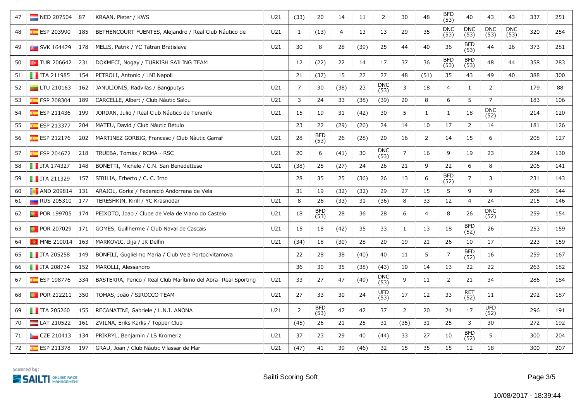| 47 | NED 207504 87             |     | KRAAN, Pieter / KWS                                           | U21             | (33)           | 20                 | 14             | 11   | $\overline{2}$     | $30\,$         | 48             | BFD<br>(53)        | 40                 | 43                 | 43                 | 337 | 251 |
|----|---------------------------|-----|---------------------------------------------------------------|-----------------|----------------|--------------------|----------------|------|--------------------|----------------|----------------|--------------------|--------------------|--------------------|--------------------|-----|-----|
| 48 | $E$ ESP 203990            | 185 | BETHENCOURT FUENTES, Alejandro / Real Club Náutico de         | U21             | 1              | (13)               | $\overline{a}$ | 13   | 13                 | 29             | 35             | <b>DNC</b><br>(53) | <b>DNC</b><br>(53) | <b>DNC</b><br>(53) | <b>DNC</b><br>(53) | 320 | 254 |
| 49 | <b>B</b> SVK 164429       | 178 | MELIS, Patrik / YC Tatran Bratislava                          | U21             | 30             | 8                  | 28             | (39) | 25                 | 44             | 40             | 36                 | <b>BFD</b><br>(53) | 44                 | 26                 | 373 | 281 |
| 50 | $\sim$ TUR 206642         | 231 | DOKMECI, Nogay / TURKISH SAILING TEAM                         |                 | 12             | (22)               | 22             | 14   | 17                 | 37             | 36             | <b>BFD</b><br>(53) | <b>BFD</b><br>(53) | 48                 | 44                 | 358 | 283 |
| 51 | $\blacksquare$ ITA 211985 | 154 | PETROLI, Antonio / LNI Napoli                                 |                 | 21             | (37)               | 15             | 22   | 27                 | 48             | (51)           | 35                 | 43                 | 49                 | 40                 | 388 | 300 |
| 52 | $\Box$ LTU 210163         | 162 | JANULIONIS, Radvilas / Bangputys                              | U21             | 7              | 30                 | (38)           | 23   | <b>DNC</b><br>(53) | $\overline{3}$ | 18             | 4                  | $\mathbf{1}$       | $\overline{2}$     |                    | 179 | 88  |
| 53 | ESP 208304                | 189 | CARCELLE, Albert / Club Nàutic Salou                          | U <sub>21</sub> | $\overline{3}$ | 24                 | 33             | (38) | (39)               | 20             | 8              | 6                  | 5                  | $\overline{7}$     |                    | 183 | 106 |
| 54 | $E$ ESP 211436            | 199 | JORDAN, Julio / Real Club Náutico de Tenerife                 | U21             | 15             | 19                 | 31             | (42) | 30                 | 5              | $\mathbf{1}$   | $\mathbf{1}$       | 18                 | <b>DNC</b><br>(52) |                    | 214 | 120 |
| 55 | ESP 213377                | 204 | MATEU, David / Club Nàutic Bétulo                             |                 | 23             | 22                 | (29)           | (26) | 24                 | 14             | 10             | 17                 | $\overline{2}$     | 14                 |                    | 181 | 126 |
| 56 | $E = ESP 212176$          | 202 | MARTINEZ GÖRBIG, Francesc / Club Nàutic Garraf                | U21             | 28             | <b>BFD</b><br>(53) | 26             | (28) | 20                 | 16             | $\overline{2}$ | 14                 | 15                 | 6                  |                    | 208 | 127 |
| 57 | ESP 204672                | 218 | TRUEBA, Tomás / RCMA - RSC                                    | U21             | 20             | 6                  | (41)           | 30   | <b>DNC</b><br>(53) | $\overline{7}$ | 16             | 9                  | 19                 | 23                 |                    | 224 | 130 |
| 58 | $\blacksquare$ ITA 174327 | 148 | BONETTI, Michele / C.N. San Benedettese                       | U21             | (38)           | 25                 | (27)           | 24   | 26                 | 21             | 9              | 22                 | 6                  | 8                  |                    | 206 | 141 |
| 59 | $\blacksquare$ ITA 211329 | 157 | SIBILIA, Erberto / C. C. Irno                                 |                 | 28             | 35                 | 25             | (36) | 26                 | 13             | 6              | <b>BFD</b><br>(52) | $\overline{7}$     | 3                  |                    | 231 | 143 |
| 60 | <b>B</b> AND 209814       | 131 | ARAJOL, Gorka / Federació Andorrana de Vela                   |                 | 31             | 19                 | (32)           | (32) | 29                 | 27             | 15             | 5                  | 9                  | 9                  |                    | 208 | 144 |
| 61 | <b>RUS 205310</b>         | 177 | TERESHKIN, Kirill / YC Krasnodar                              | U21             | 8              | 26                 | (33)           | 31   | (36)               | 8              | 33             | 12                 | 4                  | 24                 |                    | 215 | 146 |
| 62 | <b>D</b> POR 199705       | 174 | PEIXOTO, Joao / Clube de Vela de Viano do Castelo             | U21             | 18             | <b>BFD</b><br>(53) | 28             | 36   | 28                 | 6              | $\overline{4}$ | 8                  | 26                 | <b>DNC</b><br>(52) |                    | 259 | 154 |
| 63 | <b>D</b> POR 207029       | 171 | GOMES, Guillherme / Club Naval de Cascais                     | U21             | 15             | 18                 | (42)           | 35   | 33                 | $\mathbf{1}$   | 13             | 18                 | <b>BFD</b><br>(52) | 26                 |                    | 253 | 159 |
| 64 | <b>M</b> MNE 210014 163   |     | MARKOVIĆ, Ilija / JK Delfin                                   | U21             | (34)           | 18                 | (30)           | 28   | 20                 | 19             | 21             | 26                 | 10                 | 17                 |                    | 223 | 159 |
| 65 | $\blacksquare$ ITA 205258 | 149 | BONFILI, Guglielmo Maria / Club Vela Portocivitamova          |                 | 22             | 28                 | 38             | (40) | 40                 | 11             | 5              | $\overline{7}$     | <b>BFD</b><br>(52) | 16                 |                    | 259 | 167 |
| 66 | $\blacksquare$ ITA 208734 | 152 | MAROLLI, Alessandro                                           |                 | 36             | 30                 | 35             | (38) | (43)               | 10             | 14             | 13                 | 22                 | 22                 |                    | 263 | 182 |
| 67 | $E$ ESP 198776            | 334 | BASTERRA, Perico / Real Club Marítimo del Abra- Real Sporting | U21             | 33             | 27                 | 47             | (49) | <b>DNC</b><br>(53) | 9              | 11             | $\overline{2}$     | 21                 | 34                 |                    | 286 | 184 |
| 68 | $\bullet$ POR 212211      | 350 | TOMÁS, João / SIROCCO TEAM                                    | U21             | 27             | 33                 | 30             | 24   | <b>UFD</b><br>(53) | $17$           | 12             | 33                 | <b>RET</b><br>(52) | 11                 |                    | 292 | 187 |
| 69 | $\blacksquare$ ITA 205260 | 155 | RECANATINI, Gabriele / L.N.I. ANONA                           | U21             | 2              | <b>BFD</b><br>(53) | 47             | 42   | 37                 | $\overline{2}$ | 20             | 24                 | 17                 | <b>UFD</b><br>(52) |                    | 296 | 191 |
| 70 | LAT 210522                | 161 | ZVILNA, Eriks Karlis / Topper Club                            |                 | (45)           | 26                 | 21             | 25   | 31                 | (35)           | 31             | 25                 | 3                  | 30                 |                    | 272 | 192 |
| 71 | $\sim$ CZE 210413         | 134 | PRIKRYL, Benjamin / LS Kromeriz                               | U21             | 37             | 23                 | 29             | 40   | (44)               | 33             | 27             | 10                 | <b>BFD</b><br>(52) | 5                  |                    | 300 | 204 |
| 72 | ESP 211378                | 197 | GRAU, Joan / Club Nàutic Vilassar de Mar                      | U21             | (47)           | 41                 | 39             | (46) | 32                 | 15             | 35             | 15                 | 12                 | 18                 |                    | 300 | 207 |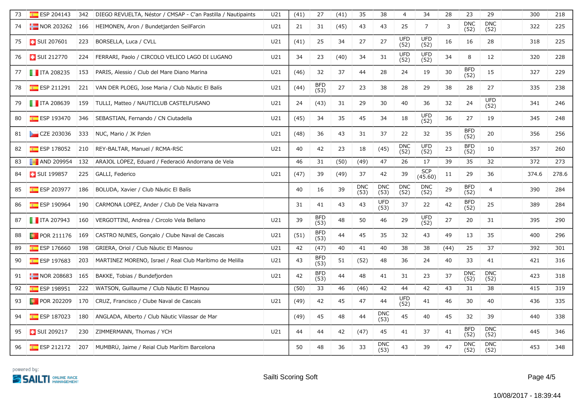| 73 | $E$ ESP 204143            | 342 | DIEGO REVUELTA, Néstor / CMSAP - C'an Pastilla / Nautipaints | U <sub>21</sub> | (41) | 27                 | (41) | 35                 | 38                 | $\overline{4}$     | 34                    | 28   | 23                 | 29                  | 300   | 218   |
|----|---------------------------|-----|--------------------------------------------------------------|-----------------|------|--------------------|------|--------------------|--------------------|--------------------|-----------------------|------|--------------------|---------------------|-------|-------|
| 74 | $\blacksquare$ NOR 203262 | 166 | HEIMONEN, Aron / Bundetjarden SeilFarcin                     | U21             | 21   | 31                 | (45) | 43                 | 43                 | 25                 | $\overline{7}$        | 3    | <b>DNC</b><br>(52) | <b>DNC</b><br>(52)  | 322   | 225   |
| 75 | <b>B</b> SUI 207601       | 223 | BORSELLA, Luca / CVLL                                        | U <sub>21</sub> | (41) | 25                 | 34   | 27                 | 27                 | <b>UFD</b><br>(52) | <b>UFD</b><br>(52)    | 16   | 16                 | 28                  | 318   | 225   |
| 76 | <b>B</b> SUI 212770       | 224 | FERRARI, Paolo / CIRCOLO VELICO LAGO DI LUGANO               | U21             | 34   | 23                 | (40) | 34                 | 31                 | <b>UFD</b><br>(52) | <b>UFD</b><br>(52)    | 34   | 8                  | 12                  | 320   | 228   |
| 77 | $\blacksquare$ ITA 208235 | 153 | PARIS, Alessio / Club del Mare Diano Marina                  | U21             | (46) | 32                 | 37   | 44                 | 28                 | 24                 | 19                    | 30   | <b>BFD</b><br>(52) | 15                  | 327   | 229   |
| 78 | $E$ ESP 211291            |     | 221 VAN DER PLOEG, Jose Maria / Club Nàutic El Balís         | U21             | (44) | <b>BFD</b><br>(53) | 27   | 23                 | 38                 | 28                 | 29                    | 38   | 28                 | 27                  | 335   | 238   |
| 79 | $\blacksquare$ ITA 208639 |     | 159 TULLI, Matteo / NAUTICLUB CASTELFUSANO                   | U21             | 24   | (43)               | 31   | 29                 | 30                 | 40                 | 36                    | 32   | 24                 | <b>UFD</b><br>(52)  | 341   | 246   |
| 80 | $E$ ESP 193470            | 346 | SEBASTIAN, Fernando / CN Ciutadella                          | U21             | (45) | 34                 | 35   | 45                 | 34                 | 18                 | <b>UFD</b><br>(52)    | 36   | 27                 | 19                  | 345   | 248   |
| 81 | CZE 203036                |     | 333 NUC, Mario / JK Pzlen                                    | U21             | (48) | 36                 | 43   | 31                 | 37                 | 22                 | 32                    | 35   | <b>BFD</b><br>(52) | 20                  | 356   | 256   |
| 82 | $E = ESP 178052$          |     | 210 REY-BALTAR, Manuel / RCMA-RSC                            | U21             | 40   | 42                 | 23   | 18                 | (45)               | <b>DNC</b><br>(52) | <b>UFD</b><br>(52)    | 23   | <b>BFD</b><br>(52) | 10                  | 357   | 260   |
| 83 | <b>8</b> AND 209954       | 132 | ARAJOL LOPEZ, Eduard / Federació Andorrana de Vela           |                 | 46   | 31                 | (50) | (49)               | 47                 | 26                 | 17                    | 39   | 35                 | 32                  | 372   | 273   |
| 84 | <b>B</b> SUI 199857       | 225 | GALLI, Federico                                              | U21             | (47) | 39                 | (49) | 37                 | 42                 | 39                 | <b>SCP</b><br>(45.60) | 11   | 29                 | 36                  | 374.6 | 278.6 |
| 85 | ESP 203977                | 186 | BOLUDA, Xavier / Club Nàutic El Balís                        |                 | 40   | 16                 | 39   | <b>DNC</b><br>(53) | <b>DNC</b><br>(53) | <b>DNC</b><br>(52) | <b>DNC</b><br>(52)    | 29   | <b>BFD</b><br>(52) | $\overline{4}$      | 390   | 284   |
| 86 | $E$ ESP 190964            | 190 | CARMONA LOPEZ, Ander / Club De Vela Navarra                  |                 | 31   | 41                 | 43   | 43                 | UFD<br>(53)        | 37                 | 22                    | 42   | <b>BFD</b><br>(52) | 25                  | 389   | 284   |
| 87 | $\blacksquare$ ITA 207943 | 160 | VERGOTTINI, Andrea / Circolo Vela Bellano                    | U21             | 39   | <b>BFD</b><br>(53) | 48   | 50                 | 46                 | 29                 | <b>UFD</b><br>(52)    | 27   | 20                 | 31                  | 395   | 290   |
| 88 | $\blacksquare$ POR 211176 | 169 | CASTRO NUNES, Gonçalo / Clube Naval de Cascais               | U21             | (51) | <b>BFD</b><br>(53) | 44   | 45                 | 35                 | 32                 | 43                    | 49   | 13                 | 35                  | 400   | 296   |
| 89 | ESP 176660                | 198 | GRIERA, Oriol / Club Nàutic El Masnou                        | U21             | 42   | (47)               | 40   | 41                 | 40                 | 38                 | 38                    | (44) | 25                 | 37                  | 392   | 301   |
| 90 | $E =$ ESP 197683          | 203 | MARTINEZ MORENO, Israel / Real Club Marítimo de Melilla      | U21             | 43   | <b>BFD</b><br>(53) | 51   | (52)               | 48                 | 36                 | 24                    | 40   | 33                 | 41                  | 421   | 316   |
| 91 | $\blacksquare$ NOR 208683 | 165 | BAKKE, Tobias / Bundefjorden                                 | U21             | 42   | <b>BFD</b><br>(53) | 44   | 48                 | 41                 | 31                 | 23                    | 37   | <b>DNC</b><br>(52) | <b>DNC</b><br>(52)  | 423   | 318   |
| 92 | $E$ ESP 198951            | 222 | WATSON, Guillaume / Club Nàutic El Masnou                    |                 | (50) | 33                 | 46   | (46)               | 42                 | 44                 | 42                    | 43   | 31                 | 38                  | 415   | 319   |
| 93 | <b>D</b> POR 202209       | 170 | CRUZ, Francisco / Clube Naval de Cascais                     | U21             | (49) | 42                 | 45   | 47                 | 44                 | <b>UFD</b><br>(52) | 41                    | 46   | 30                 | 40                  | 436   | 335   |
| 94 | $E$ ESP 187023            | 180 | ANGLADA, Alberto / Club Nàutic Vilassar de Mar               |                 | (49) | 45                 | 48   | 44                 | <b>DNC</b><br>(53) | 45                 | 40                    | 45   | 32                 | 39                  | 440   | 338   |
| 95 | SUI 209217                | 230 | ZIMMERMANN, Thomas / YCH                                     | U21             | 44   | 44                 | 42   | (47)               | 45                 | 41                 | 37                    | 41   | <b>BFD</b><br>(52) | ${\sf DNC}$<br>(52) | 445   | 346   |
| 96 |                           |     | ESP 212172 207 MUMBRU, Jaime / Reial Club Marítim Barcelona  |                 | 50   | 48                 | 36   | 33                 | <b>DNC</b><br>(53) | 43                 | 39                    | 47   | <b>DNC</b><br>(52) | <b>DNC</b><br>(52)  | 453   | 348   |